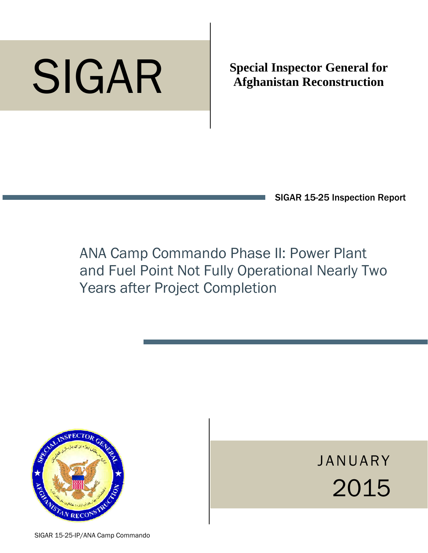# p SIGAR

**Special Inspector General for Afghanistan Reconstruction** 

SIGAR 15-25 Inspection Report

ANA Camp Commando Phase II: Power Plant and Fuel Point Not Fully Operational Nearly Two Years after Project Completion



JANUARY 2015

SIGAR 15-25-IP/ANA Camp Commando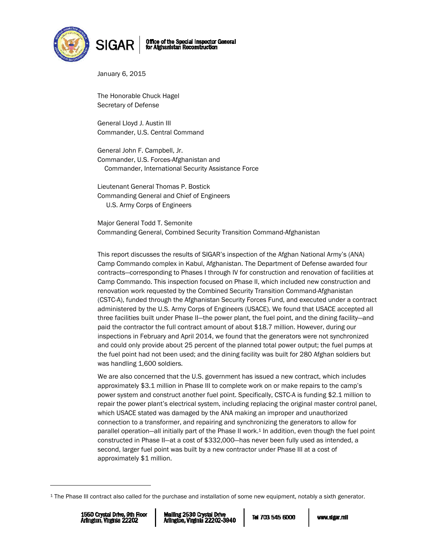



January 6, 2015

The Honorable Chuck Hagel Secretary of Defense

General Lloyd J. Austin III Commander, U.S. Central Command

General John F. Campbell, Jr. Commander, U.S. Forces-Afghanistan and Commander, International Security Assistance Force

Lieutenant General Thomas P. Bostick Commanding General and Chief of Engineers U.S. Army Corps of Engineers

Major General Todd T. Semonite Commanding General, Combined Security Transition Command-Afghanistan

This report discusses the results of SIGAR's inspection of the Afghan National Army's (ANA) Camp Commando complex in Kabul, Afghanistan. The Department of Defense awarded four contracts—corresponding to Phases I through IV for construction and renovation of facilities at Camp Commando. This inspection focused on Phase II, which included new construction and renovation work requested by the Combined Security Transition Command-Afghanistan (CSTC-A), funded through the Afghanistan Security Forces Fund, and executed under a contract administered by the U.S. Army Corps of Engineers (USACE). We found that USACE accepted all three facilities built under Phase II—the power plant, the fuel point, and the dining facility—and paid the contractor the full contract amount of about \$18.7 million. However, during our inspections in February and April 2014, we found that the generators were not synchronized and could only provide about 25 percent of the planned total power output; the fuel pumps at the fuel point had not been used; and the dining facility was built for 280 Afghan soldiers but was handling 1,600 soldiers.

We are also concerned that the U.S. government has issued a new contract, which includes approximately \$3.1 million in Phase III to complete work on or make repairs to the camp's power system and construct another fuel point. Specifically, CSTC-A is funding \$2.1 million to repair the power plant's electrical system, including replacing the original master control panel, which USACE stated was damaged by the ANA making an improper and unauthorized connection to a transformer, and repairing and synchronizing the generators to allow for parallel operation—all initially part of the Phase II work.1 In addition, even though the fuel point constructed in Phase II—at a cost of \$332,000—has never been fully used as intended, a second, larger fuel point was built by a new contractor under Phase III at a cost of approximately \$1 million.

-

<sup>1</sup> The Phase III contract also called for the purchase and installation of some new equipment, notably a sixth generator.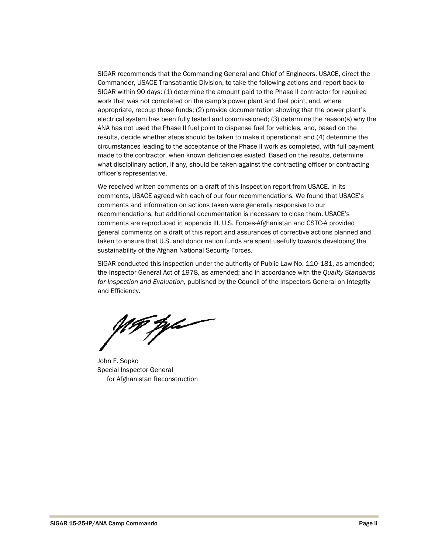SIGAR recommends that the Commanding General and Chief of Engineers, USACE, direct the Commander, USACE Transatlantic Division, to take the following actions and report back to SIGAR within 90 days: (1) determine the amount paid to the Phase II contractor for required work that was not completed on the camp's power plant and fuel point, and, where appropriate, recoup those funds; (2) provide documentation showing that the power plant's electrical system has been fully tested and commissioned; (3) determine the reason(s) why the ANA has not used the Phase II fuel point to dispense fuel for vehicles, and, based on the results, decide whether steps should be taken to make it operational; and (4) determine the circumstances leading to the acceptance of the Phase II work as completed, with full payment made to the contractor, when known deficiencies existed. Based on the results, determine what disciplinary action, if any, should be taken against the contracting officer or contracting officer's representative.

We received written comments on a draft of this inspection report from USACE. In its comments, USACE agreed with each of our four recommendations. We found that USACE's comments and information on actions taken were generally responsive to our recommendations, but additional documentation is necessary to close them. USACE's comments are reproduced in appendix III. U.S. Forces-Afghanistan and CSTC-A provided general comments on a draft of this report and assurances of corrective actions planned and taken to ensure that U.S. and donor nation funds are spent usefully towards developing the sustainability of the Afghan National Security Forces.

SIGAR conducted this inspection under the authority of Public Law No. 110‐181, as amended; the Inspector General Act of 1978, as amended; and in accordance with the *Quality Standards for Inspection and Evaluation,* published by the Council of the Inspectors General on Integrity and Efficiency.

.<br>Ma

John F. Sopko Special Inspector General for Afghanistan Reconstruction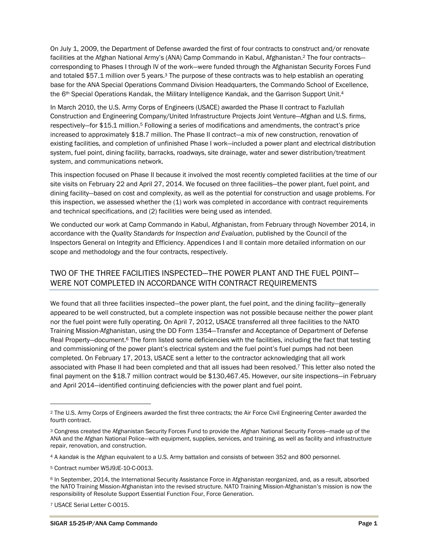On July 1, 2009, the Department of Defense awarded the first of four contracts to construct and/or renovate facilities at the Afghan National Army's (ANA) Camp Commando in Kabul, Afghanistan.2 The four contracts corresponding to Phases I through IV of the work—were funded through the Afghanistan Security Forces Fund and totaled \$57.1 million over 5 years.<sup>3</sup> The purpose of these contracts was to help establish an operating base for the ANA Special Operations Command Division Headquarters, the Commando School of Excellence, the 6<sup>th</sup> Special Operations Kandak, the Military Intelligence Kandak, and the Garrison Support Unit.<sup>4</sup>

In March 2010, the U.S. Army Corps of Engineers (USACE) awarded the Phase II contract to Fazlullah Construction and Engineering Company/United Infrastructure Projects Joint Venture—Afghan and U.S. firms, respectively—for \$15.1 million.5 Following a series of modifications and amendments, the contract's price increased to approximately \$18.7 million. The Phase II contract—a mix of new construction, renovation of existing facilities, and completion of unfinished Phase I work—included a power plant and electrical distribution system, fuel point, dining facility, barracks, roadways, site drainage, water and sewer distribution/treatment system, and communications network.

This inspection focused on Phase II because it involved the most recently completed facilities at the time of our site visits on February 22 and April 27, 2014. We focused on three facilities—the power plant, fuel point, and dining facility—based on cost and complexity, as well as the potential for construction and usage problems. For this inspection, we assessed whether the (1) work was completed in accordance with contract requirements and technical specifications, and (2) facilities were being used as intended.

We conducted our work at Camp Commando in Kabul, Afghanistan, from February through November 2014, in accordance with the *Quality Standards for Inspection and Evaluation*, published by the Council of the Inspectors General on Integrity and Efficiency. Appendices I and II contain more detailed information on our scope and methodology and the four contracts, respectively.

### TWO OF THE THREE FACILITIES INSPECTED—THE POWER PLANT AND THE FUEL POINT— WERE NOT COMPLETED IN ACCORDANCE WITH CONTRACT REQUIREMENTS

We found that all three facilities inspected—the power plant, the fuel point, and the dining facility—generally appeared to be well constructed, but a complete inspection was not possible because neither the power plant nor the fuel point were fully operating. On April 7, 2012, USACE transferred all three facilities to the NATO Training Mission-Afghanistan, using the DD Form 1354—Transfer and Acceptance of Department of Defense Real Property-document.<sup>6</sup> The form listed some deficiencies with the facilities, including the fact that testing and commissioning of the power plant's electrical system and the fuel point's fuel pumps had not been completed. On February 17, 2013, USACE sent a letter to the contractor acknowledging that all work associated with Phase II had been completed and that all issues had been resolved.7 This letter also noted the final payment on the \$18.7 million contract would be \$130,467.45. However, our site inspections—in February and April 2014—identified continuing deficiencies with the power plant and fuel point.

7 USACE Serial Letter C-0015.

-

<sup>2</sup> The U.S. Army Corps of Engineers awarded the first three contracts; the Air Force Civil Engineering Center awarded the fourth contract.

<sup>3</sup> Congress created the Afghanistan Security Forces Fund to provide the Afghan National Security Forces—made up of the ANA and the Afghan National Police—with equipment, supplies, services, and training, as well as facility and infrastructure repair, renovation, and construction.

<sup>4</sup> A *kandak* is the Afghan equivalent to a U.S. Army battalion and consists of between 352 and 800 personnel.

<sup>5</sup> Contract number W5J9JE-10-C-0013.

<sup>6</sup> In September, 2014, the International Security Assistance Force in Afghanistan reorganized, and, as a result, absorbed the NATO Training Mission-Afghanistan into the revised structure. NATO Training Mission-Afghanistan's mission is now the responsibility of Resolute Support Essential Function Four, Force Generation.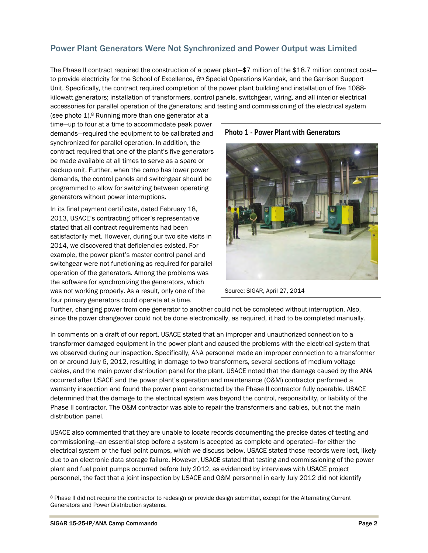### Power Plant Generators Were Not Synchronized and Power Output was Limited

The Phase II contract required the construction of a power plant—\$7 million of the \$18.7 million contract cost to provide electricity for the School of Excellence, 6<sup>th</sup> Special Operations Kandak, and the Garrison Support Unit. Specifically, the contract required completion of the power plant building and installation of five 1088 kilowatt generators; installation of transformers, control panels, switchgear, wiring, and all interior electrical accessories for parallel operation of the generators; and testing and commissioning of the electrical system

(see photo 1).<sup>8</sup> Running more than one generator at a time—up to four at a time to accommodate peak power demands—required the equipment to be calibrated and synchronized for parallel operation. In addition, the contract required that one of the plant's five generators be made available at all times to serve as a spare or backup unit. Further, when the camp has lower power demands, the control panels and switchgear should be programmed to allow for switching between operating generators without power interruptions.

In its final payment certificate, dated February 18, 2013, USACE's contracting officer's representative stated that all contract requirements had been satisfactorily met. However, during our two site visits in 2014, we discovered that deficiencies existed. For example, the power plant's master control panel and switchgear were not functioning as required for parallel operation of the generators. Among the problems was the software for synchronizing the generators, which was not working properly. As a result, only one of the four primary generators could operate at a time.

Photo 1 - Power Plant with Generators



Source: SIGAR, April 27, 2014

Further, changing power from one generator to another could not be completed without interruption. Also, since the power changeover could not be done electronically, as required, it had to be completed manually.

In comments on a draft of our report, USACE stated that an improper and unauthorized connection to a transformer damaged equipment in the power plant and caused the problems with the electrical system that we observed during our inspection. Specifically, ANA personnel made an improper connection to a transformer on or around July 6, 2012, resulting in damage to two transformers, several sections of medium voltage cables, and the main power distribution panel for the plant. USACE noted that the damage caused by the ANA occurred after USACE and the power plant's operation and maintenance (O&M) contractor performed a warranty inspection and found the power plant constructed by the Phase II contractor fully operable. USACE determined that the damage to the electrical system was beyond the control, responsibility, or liability of the Phase II contractor. The O&M contractor was able to repair the transformers and cables, but not the main distribution panel.

USACE also commented that they are unable to locate records documenting the precise dates of testing and commissioning—an essential step before a system is accepted as complete and operated—for either the electrical system or the fuel point pumps, which we discuss below. USACE stated those records were lost, likely due to an electronic data storage failure. However, USACE stated that testing and commissioning of the power plant and fuel point pumps occurred before July 2012, as evidenced by interviews with USACE project personnel, the fact that a joint inspection by USACE and O&M personnel in early July 2012 did not identify

 $\overline{a}$ 

<sup>8</sup> Phase II did not require the contractor to redesign or provide design submittal, except for the Alternating Current Generators and Power Distribution systems.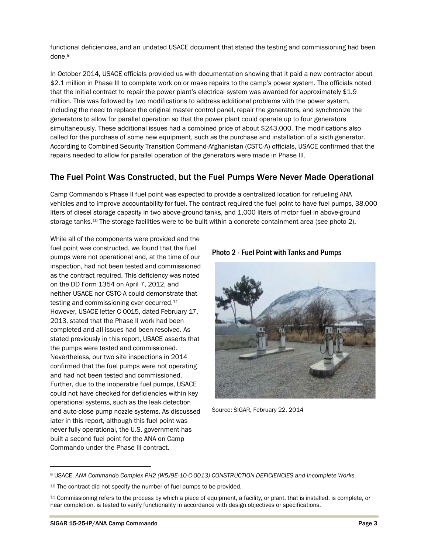functional deficiencies, and an undated USACE document that stated the testing and commissioning had been done.9

In October 2014, USACE officials provided us with documentation showing that it paid a new contractor about \$2.1 million in Phase III to complete work on or make repairs to the camp's power system. The officials noted that the initial contract to repair the power plant's electrical system was awarded for approximately \$1.9 million. This was followed by two modifications to address additional problems with the power system, including the need to replace the original master control panel, repair the generators, and synchronize the generators to allow for parallel operation so that the power plant could operate up to four generators simultaneously. These additional issues had a combined price of about \$243,000. The modifications also called for the purchase of some new equipment, such as the purchase and installation of a sixth generator. According to Combined Security Transition Command-Afghanistan (CSTC-A) officials, USACE confirmed that the repairs needed to allow for parallel operation of the generators were made in Phase III.

### The Fuel Point Was Constructed, but the Fuel Pumps Were Never Made Operational

Camp Commando's Phase II fuel point was expected to provide a centralized location for refueling ANA vehicles and to improve accountability for fuel. The contract required the fuel point to have fuel pumps, 38,000 liters of diesel storage capacity in two above-ground tanks, and 1,000 liters of motor fuel in above-ground storage tanks.<sup>10</sup> The storage facilities were to be built within a concrete containment area (see photo 2).

While all of the components were provided and the fuel point was constructed, we found that the fuel pumps were not operational and, at the time of our inspection, had not been tested and commissioned as the contract required. This deficiency was noted on the DD Form 1354 on April 7, 2012, and neither USACE nor CSTC-A could demonstrate that testing and commissioning ever occurred.<sup>11</sup> However, USACE letter C-0015, dated February 17, 2013, stated that the Phase II work had been completed and all issues had been resolved. As stated previously in this report, USACE asserts that the pumps were tested and commissioned. Nevertheless, our two site inspections in 2014 confirmed that the fuel pumps were not operating and had not been tested and commissioned. Further, due to the inoperable fuel pumps, USACE could not have checked for deficiencies within key operational systems, such as the leak detection and auto-close pump nozzle systems. As discussed later in this report, although this fuel point was never fully operational, the U.S. government has built a second fuel point for the ANA on Camp Commando under the Phase III contract.



Source: SIGAR, February 22, 2014

 $\overline{\phantom{a}}$ 

Photo 2 - Fuel Point with Tanks and Pumps

<sup>9</sup> USACE, *ANA Commando Complex PH2 (W5J9E-10-C-0013) CONSTRUCTION DEFICIENCIES and Incomplete Works*.

<sup>10</sup> The contract did not specify the number of fuel pumps to be provided.

<sup>11</sup> Commissioning refers to the process by which a piece of equipment, a facility, or plant, that is installed, is complete, or near completion, is tested to verify functionality in accordance with design objectives or specifications.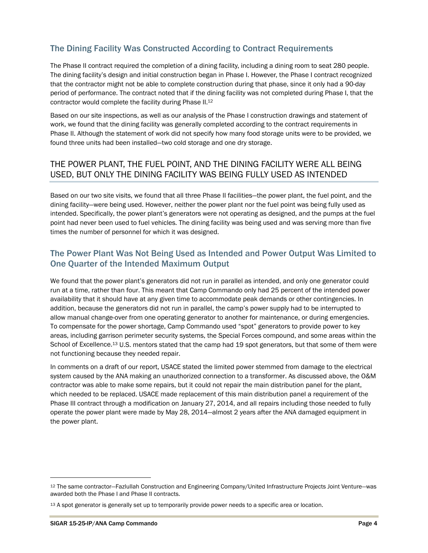### The Dining Facility Was Constructed According to Contract Requirements

The Phase II contract required the completion of a dining facility, including a dining room to seat 280 people. The dining facility's design and initial construction began in Phase I. However, the Phase I contract recognized that the contractor might not be able to complete construction during that phase, since it only had a 90-day period of performance. The contract noted that if the dining facility was not completed during Phase I, that the contractor would complete the facility during Phase II.12

Based on our site inspections, as well as our analysis of the Phase I construction drawings and statement of work, we found that the dining facility was generally completed according to the contract requirements in Phase II. Although the statement of work did not specify how many food storage units were to be provided, we found three units had been installed—two cold storage and one dry storage.

### THE POWER PLANT, THE FUEL POINT, AND THE DINING FACILITY WERE ALL BEING USED, BUT ONLY THE DINING FACILITY WAS BEING FULLY USED AS INTENDED

Based on our two site visits, we found that all three Phase II facilities—the power plant, the fuel point, and the dining facility—were being used. However, neither the power plant nor the fuel point was being fully used as intended. Specifically, the power plant's generators were not operating as designed, and the pumps at the fuel point had never been used to fuel vehicles. The dining facility was being used and was serving more than five times the number of personnel for which it was designed.

### The Power Plant Was Not Being Used as Intended and Power Output Was Limited to One Quarter of the Intended Maximum Output

We found that the power plant's generators did not run in parallel as intended, and only one generator could run at a time, rather than four. This meant that Camp Commando only had 25 percent of the intended power availability that it should have at any given time to accommodate peak demands or other contingencies. In addition, because the generators did not run in parallel, the camp's power supply had to be interrupted to allow manual change-over from one operating generator to another for maintenance, or during emergencies. To compensate for the power shortage, Camp Commando used "spot" generators to provide power to key areas, including garrison perimeter security systems, the Special Forces compound, and some areas within the School of Excellence.<sup>13</sup> U.S. mentors stated that the camp had 19 spot generators, but that some of them were not functioning because they needed repair.

In comments on a draft of our report, USACE stated the limited power stemmed from damage to the electrical system caused by the ANA making an unauthorized connection to a transformer. As discussed above, the O&M contractor was able to make some repairs, but it could not repair the main distribution panel for the plant, which needed to be replaced. USACE made replacement of this main distribution panel a requirement of the Phase III contract through a modification on January 27, 2014, and all repairs including those needed to fully operate the power plant were made by May 28, 2014—almost 2 years after the ANA damaged equipment in the power plant.

 $\overline{a}$ 

<sup>12</sup> The same contractor—Fazlullah Construction and Engineering Company/United Infrastructure Projects Joint Venture—was awarded both the Phase I and Phase II contracts.

<sup>13</sup> A spot generator is generally set up to temporarily provide power needs to a specific area or location.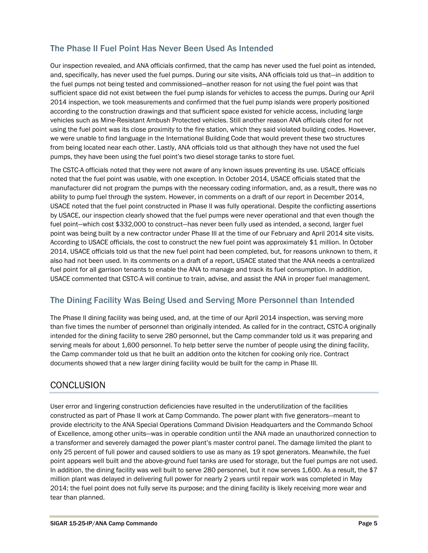### The Phase II Fuel Point Has Never Been Used As Intended

Our inspection revealed, and ANA officials confirmed, that the camp has never used the fuel point as intended, and, specifically, has never used the fuel pumps. During our site visits, ANA officials told us that—in addition to the fuel pumps not being tested and commissioned—another reason for not using the fuel point was that sufficient space did not exist between the fuel pump islands for vehicles to access the pumps. During our April 2014 inspection, we took measurements and confirmed that the fuel pump islands were properly positioned according to the construction drawings and that sufficient space existed for vehicle access, including large vehicles such as Mine-Resistant Ambush Protected vehicles. Still another reason ANA officials cited for not using the fuel point was its close proximity to the fire station, which they said violated building codes. However, we were unable to find language in the International Building Code that would prevent these two structures from being located near each other. Lastly, ANA officials told us that although they have not used the fuel pumps, they have been using the fuel point's two diesel storage tanks to store fuel.

The CSTC-A officials noted that they were not aware of any known issues preventing its use. USACE officials noted that the fuel point was usable, with one exception. In October 2014, USACE officials stated that the manufacturer did not program the pumps with the necessary coding information, and, as a result, there was no ability to pump fuel through the system. However, in comments on a draft of our report in December 2014, USACE noted that the fuel point constructed in Phase II was fully operational. Despite the conflicting assertions by USACE, our inspection clearly showed that the fuel pumps were never operational and that even though the fuel point—which cost \$332,000 to construct—has never been fully used as intended, a second, larger fuel point was being built by a new contractor under Phase III at the time of our February and April 2014 site visits. According to USACE officials, the cost to construct the new fuel point was approximately \$1 million. In October 2014, USACE officials told us that the new fuel point had been completed, but, for reasons unknown to them, it also had not been used. In its comments on a draft of a report, USACE stated that the ANA needs a centralized fuel point for all garrison tenants to enable the ANA to manage and track its fuel consumption. In addition, USACE commented that CSTC-A will continue to train, advise, and assist the ANA in proper fuel management.

### The Dining Facility Was Being Used and Serving More Personnel than Intended

The Phase II dining facility was being used, and, at the time of our April 2014 inspection, was serving more than five times the number of personnel than originally intended. As called for in the contract, CSTC-A originally intended for the dining facility to serve 280 personnel, but the Camp commander told us it was preparing and serving meals for about 1,600 personnel. To help better serve the number of people using the dining facility, the Camp commander told us that he built an addition onto the kitchen for cooking only rice. Contract documents showed that a new larger dining facility would be built for the camp in Phase III.

# **CONCLUSION**

User error and lingering construction deficiencies have resulted in the underutilization of the facilities constructed as part of Phase II work at Camp Commando. The power plant with five generators—meant to provide electricity to the ANA Special Operations Command Division Headquarters and the Commando School of Excellence, among other units—was in operable condition until the ANA made an unauthorized connection to a transformer and severely damaged the power plant's master control panel. The damage limited the plant to only 25 percent of full power and caused soldiers to use as many as 19 spot generators. Meanwhile, the fuel point appears well built and the above-ground fuel tanks are used for storage, but the fuel pumps are not used. In addition, the dining facility was well built to serve 280 personnel, but it now serves 1,600. As a result, the \$7 million plant was delayed in delivering full power for nearly 2 years until repair work was completed in May 2014; the fuel point does not fully serve its purpose; and the dining facility is likely receiving more wear and tear than planned.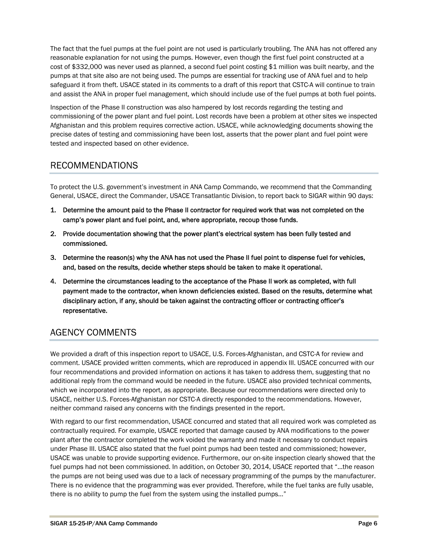The fact that the fuel pumps at the fuel point are not used is particularly troubling. The ANA has not offered any reasonable explanation for not using the pumps. However, even though the first fuel point constructed at a cost of \$332,000 was never used as planned, a second fuel point costing \$1 million was built nearby, and the pumps at that site also are not being used. The pumps are essential for tracking use of ANA fuel and to help safeguard it from theft. USACE stated in its comments to a draft of this report that CSTC-A will continue to train and assist the ANA in proper fuel management, which should include use of the fuel pumps at both fuel points.

Inspection of the Phase II construction was also hampered by lost records regarding the testing and commissioning of the power plant and fuel point. Lost records have been a problem at other sites we inspected Afghanistan and this problem requires corrective action. USACE, while acknowledging documents showing the precise dates of testing and commissioning have been lost, asserts that the power plant and fuel point were tested and inspected based on other evidence.

# RECOMMENDATIONS

To protect the U.S. government's investment in ANA Camp Commando, we recommend that the Commanding General, USACE, direct the Commander, USACE Transatlantic Division, to report back to SIGAR within 90 days:

- 1. Determine the amount paid to the Phase II contractor for required work that was not completed on the camp's power plant and fuel point, and, where appropriate, recoup those funds.
- 2. Provide documentation showing that the power plant's electrical system has been fully tested and commissioned.
- 3. Determine the reason(s) why the ANA has not used the Phase II fuel point to dispense fuel for vehicles, and, based on the results, decide whether steps should be taken to make it operational.
- 4. Determine the circumstances leading to the acceptance of the Phase II work as completed, with full payment made to the contractor, when known deficiencies existed. Based on the results, determine what disciplinary action, if any, should be taken against the contracting officer or contracting officer's representative.

# AGENCY COMMENTS

We provided a draft of this inspection report to USACE, U.S. Forces-Afghanistan, and CSTC-A for review and comment. USACE provided written comments, which are reproduced in appendix III. USACE concurred with our four recommendations and provided information on actions it has taken to address them, suggesting that no additional reply from the command would be needed in the future. USACE also provided technical comments, which we incorporated into the report, as appropriate. Because our recommendations were directed only to USACE, neither U.S. Forces-Afghanistan nor CSTC-A directly responded to the recommendations. However, neither command raised any concerns with the findings presented in the report.

With regard to our first recommendation, USACE concurred and stated that all required work was completed as contractually required. For example, USACE reported that damage caused by ANA modifications to the power plant after the contractor completed the work voided the warranty and made it necessary to conduct repairs under Phase III. USACE also stated that the fuel point pumps had been tested and commissioned; however, USACE was unable to provide supporting evidence. Furthermore, our on-site inspection clearly showed that the fuel pumps had not been commissioned. In addition, on October 30, 2014, USACE reported that "…the reason the pumps are not being used was due to a lack of necessary programming of the pumps by the manufacturer. There is no evidence that the programming was ever provided. Therefore, while the fuel tanks are fully usable, there is no ability to pump the fuel from the system using the installed pumps…"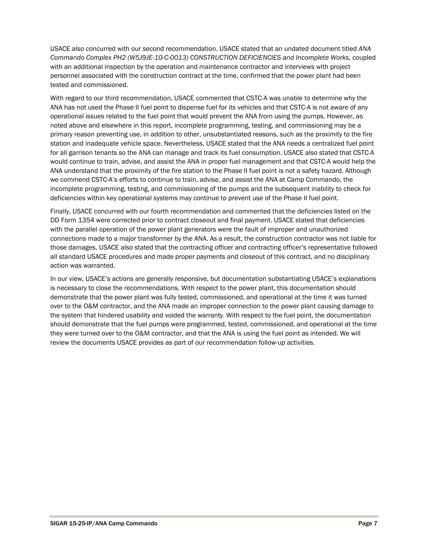USACE also concurred with our second recommendation. USACE stated that an undated document titled *ANA Commando Complex PH2 (W5J9JE-10-C-0013) CONSTRUCTION DEFICIENCIES and Incomplete Works,* coupled with an additional inspection by the operation and maintenance contractor and interviews with project personnel associated with the construction contract at the time, confirmed that the power plant had been tested and commissioned.

With regard to our third recommendation, USACE commented that CSTC-A was unable to determine why the ANA has not used the Phase II fuel point to dispense fuel for its vehicles and that CSTC-A is not aware of any operational issues related to the fuel point that would prevent the ANA from using the pumps. However, as noted above and elsewhere in this report, incomplete programming, testing, and commissioning may be a primary reason preventing use, in addition to other, unsubstantiated reasons, such as the proximity to the fire station and inadequate vehicle space. Nevertheless, USACE stated that the ANA needs a centralized fuel point for all garrison tenants so the ANA can manage and track its fuel consumption. USACE also stated that CSTC-A would continue to train, advise, and assist the ANA in proper fuel management and that CSTC-A would help the ANA understand that the proximity of the fire station to the Phase II fuel point is not a safety hazard. Although we commend CSTC-A's efforts to continue to train, advise, and assist the ANA at Camp Commando, the incomplete programming, testing, and commissioning of the pumps and the subsequent inability to check for deficiencies within key operational systems may continue to prevent use of the Phase II fuel point.

Finally, USACE concurred with our fourth recommendation and commented that the deficiencies listed on the DD Form 1354 were corrected prior to contract closeout and final payment. USACE stated that deficiencies with the parallel operation of the power plant generators were the fault of improper and unauthorized connections made to a major transformer by the ANA. As a result, the construction contractor was not liable for those damages. USACE also stated that the contracting officer and contracting officer's representative followed all standard USACE procedures and made proper payments and closeout of this contract, and no disciplinary action was warranted.

In our view, USACE's actions are generally responsive, but documentation substantiating USACE's explanations is necessary to close the recommendations. With respect to the power plant, this documentation should demonstrate that the power plant was fully tested, commissioned, and operational at the time it was turned over to the O&M contractor, and the ANA made an improper connection to the power plant causing damage to the system that hindered usability and voided the warranty. With respect to the fuel point, the documentation should demonstrate that the fuel pumps were programmed, tested, commissioned, and operational at the time they were turned over to the O&M contractor, and that the ANA is using the fuel point as intended. We will review the documents USACE provides as part of our recommendation follow-up activities.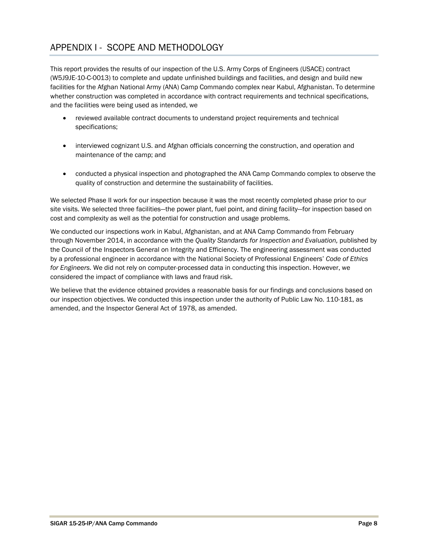# APPENDIX I - SCOPE AND METHODOLOGY

This report provides the results of our inspection of the U.S. Army Corps of Engineers (USACE) contract (W5J9JE-10-C-0013) to complete and update unfinished buildings and facilities, and design and build new facilities for the Afghan National Army (ANA) Camp Commando complex near Kabul, Afghanistan. To determine whether construction was completed in accordance with contract requirements and technical specifications, and the facilities were being used as intended, we

- reviewed available contract documents to understand project requirements and technical specifications;
- interviewed cognizant U.S. and Afghan officials concerning the construction, and operation and maintenance of the camp; and
- conducted a physical inspection and photographed the ANA Camp Commando complex to observe the quality of construction and determine the sustainability of facilities.

We selected Phase II work for our inspection because it was the most recently completed phase prior to our site visits. We selected three facilities—the power plant, fuel point, and dining facility—for inspection based on cost and complexity as well as the potential for construction and usage problems.

We conducted our inspections work in Kabul, Afghanistan, and at ANA Camp Commando from February through November 2014, in accordance with the *Quality Standards for Inspection and Evaluation,* published by the Council of the Inspectors General on Integrity and Efficiency. The engineering assessment was conducted by a professional engineer in accordance with the National Society of Professional Engineers' *Code of Ethics for Engineers.* We did not rely on computer-processed data in conducting this inspection. However, we considered the impact of compliance with laws and fraud risk.

We believe that the evidence obtained provides a reasonable basis for our findings and conclusions based on our inspection objectives. We conducted this inspection under the authority of Public Law No. 110-181, as amended, and the Inspector General Act of 1978, as amended.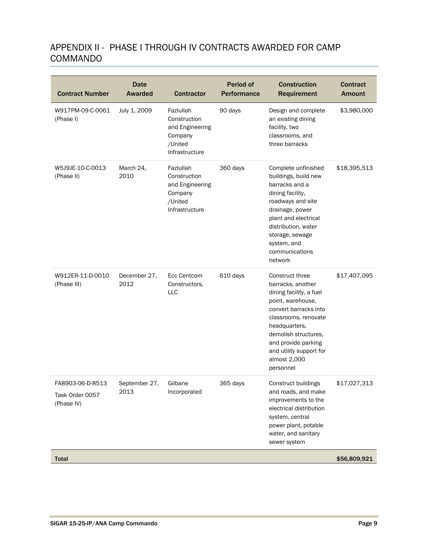# APPENDIX II - PHASE I THROUGH IV CONTRACTS AWARDED FOR CAMP COMMANDO

| <b>Contract Number</b>                            | <b>Date</b><br><b>Awarded</b> | <b>Contractor</b>                                                                    | <b>Period of</b><br>Performance | <b>Construction</b><br>Requirement                                                                                                                                                                                                                            | <b>Contract</b><br><b>Amount</b> |
|---------------------------------------------------|-------------------------------|--------------------------------------------------------------------------------------|---------------------------------|---------------------------------------------------------------------------------------------------------------------------------------------------------------------------------------------------------------------------------------------------------------|----------------------------------|
| W917PM-09-C-0061<br>(Phase I)                     | July 1, 2009                  | Fazlullah<br>Construction<br>and Engineering<br>Company<br>/United<br>Infrastructure | 90 days                         | Design and complete<br>an existing dining<br>facility, two<br>classrooms, and<br>three barracks                                                                                                                                                               | \$3,980,000                      |
| W5J9JE-10-C-0013<br>(Phase II)                    | March 24,<br>2010             | Fazlullah<br>Construction<br>and Engineering<br>Company<br>/United<br>Infrastructure | 360 days                        | Complete unfinished<br>buildings, build new<br>barracks and a<br>dining facility,<br>roadways and site<br>drainage, power<br>plant and electrical<br>distribution, water<br>storage, sewage<br>system, and<br>communications<br>network                       | \$18,395,513                     |
| W912ER-11-D-0010<br>(Phase III)                   | December 27,<br>2012          | <b>Ecc Centcom</b><br>Constructors,<br>LLC                                           | 610 days                        | Construct three<br>barracks, another<br>dining facility, a fuel<br>point, warehouse,<br>convert barracks into<br>classrooms, renovate<br>headquarters,<br>demolish structures,<br>and provide parking<br>and utility support for<br>almost 2,000<br>personnel | \$17,407,095                     |
| FA8903-06-D-8513<br>Task Order 0057<br>(Phase IV) | September 27.<br>2013         | Gilbane<br>Incorporated                                                              | 365 days                        | Construct buildings<br>and roads, and make<br>improvements to the<br>electrical distribution<br>system, central<br>power plant, potable<br>water, and sanitary<br>sewer system                                                                                | \$17,027,313                     |
| <b>Total</b>                                      |                               |                                                                                      |                                 |                                                                                                                                                                                                                                                               | \$56,809,921                     |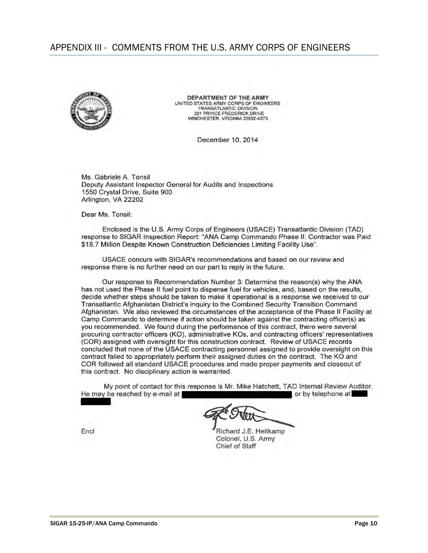### APPENDIX III - COMMENTS FROM THE U.S. ARMY CORPS OF ENGINEERS



DEPARTMENT OF THE ARMY UNITED STATES ARMY CORPS OF ENGINEERS **TRANSATLANTIC DIVISION** 201 PRINCE FREDERICK DRIVE WINCHESTER, VIRGINIA 22602-4373

December 10, 2014

Ms. Gabriele A. Tonsil Deputy Assistant Inspector General for Audits and Inspections 1550 Crystal Drive, Suite 900 Arlington, VA 22202

Dear Ms. Tonsil:

Enclosed is the U.S. Army Corps of Engineers (USACE) Transatlantic Division (TAD) response to SIGAR Inspection Report: "ANA Camp Commando Phase II: Contractor was Paid \$18.7 Million Despite Known Construction Deficiencies Limiting Facility Use".

USACE concurs with SIGAR's recommendations and based on our review and response there is no further need on our part to reply in the future.

Our response to Recommendation Number 3: Determine the reason(s) why the ANA has not used the Phase II fuel point to dispense fuel for vehicles, and, based on the results, decide whether steps should be taken to make it operational is a response we received to our Transatlantic Afghanistan District's inquiry to the Combined Security Transition Command Afghanistan. We also reviewed the circumstances of the acceptance of the Phase II Facility at Camp Commando to determine if action should be taken against the contracting officer(s) as you recommended. We found during the performance of this contract, there were several procuring contractor officers (KO), administrative KOs, and contracting officers' representatives (COR) assigned with oversight for this construction contract. Review of USACE records concluded that none of the USACE contracting personnel assigned to provide oversight on this contract failed to appropriately perform their assigned duties on the contract. The KO and COR followed all standard USACE procedures and made proper payments and closeout of this contract. No disciplinary action is warranted.

My point of contact for this response is Mr. Mike Hatchett, TAD Internal Review Auditor. or by telephone at He may be reached by e-mail at

Richard J.E. Heitkamp Colonel, U.S. Army Chief of Staff

Encl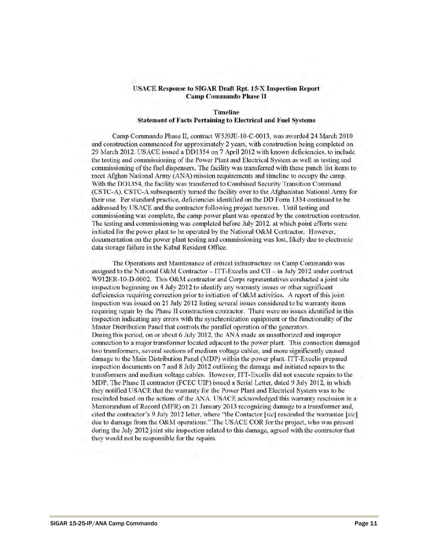### **USACE Response to SIGAR Draft Rpt. 15-X Inspection Report Camp Commando Phase II**

### **Timeline Statement of Facts Pertaining to Electrical and Fuel Systems**

Camp Commando Phase II, contract W5J9JE-10-C-0013, was awarded 24 March 2010 and construction commenced for approximately 2 years, with construction being completed on 29 March 2012. USACE issued a DD1354 on 7 April 2012 with known deficiencies, to include the testing and commissioning of the Power Plant and Electrical System as well as testing and commissioning of the fuel dispensers. The facility was transferred with these punch list items to meet Afghan National Army (ANA) mission requirements and timeline to occupy the camp. With the DD1354, the facility was transferred to Combined Security Transition Command (CSTC-A). CSTC-A subsequently turned the facility over to the Afghanistan National Army for their use. Per standard practice, deficiencies identified on the DD Form 1354 continued to be addressed by USACE and the contractor following project turnover. Until testing and commissioning was complete, the camp power plant was operated by the construction contractor. The testing and commissioning was completed before July 2012, at which point efforts were initiated for the power plant to be operated by the National O&M Contractor. However, documentation on the power plant testing and commissioning was lost, likely due to electronic data storage failure in the Kabul Resident Office.

The Operations and Maintenance of critical infrastructure on Camp Commando was assigned to the National O&M Contractor  $-ITT$ -Excelis and CII  $-$  in July 2012 under contract W912ER-10-D-0002. This O&M contractor and Corps representatives conducted a joint site inspection beginning on 4 July 2012 to identify any warranty issues or other significant deficiencies requiring correction prior to initiation of O&M activities. A report of this joint inspection was issued on 21 July 2012 listing several issues considered to be warranty items requiring repair by the Phase II construction contractor. There were no issues identified in this inspection indicating any errors with the synchronization equipment or the functionality of the Master Distribution Panel that controls the parallel operation of the generators. During this period, on or about 6 July 2012, the ANA made an unauthorized and improper connection to a major transformer located adjacent to the power plant. This connection damaged two transformers, several sections of medium voltage cables, and more significantly caused damage to the Main Distribution Panel (MDP) within the power plant. ITT-Excelis prepared inspection documents on 7 and 8 July 2012 outlining the damage and initiated repairs to the transformers and medium voltage cables. However, ITT-Excelis did not execute repairs to the MDP. The Phase II contractor (FCEC UIP) issued a Serial Letter, dated 9 July 2012, in which they notified USACE that the warranty for the Power Plant and Electrical System was to be rescinded based on the actions of the ANA. USACE acknowledged this warranty rescission in a Memorandum of Record (MFR) on 21 January 2013 recognizing damage to a transformer and, cited the contractor's 9 July 2012 letter, where "the Contactor [sic] rescinded the warrantee [sic] due to damage from the O&M operations." The USACE COR for the project, who was present during the July 2012 joint site inspection related to this damage, agreed with the contractor that they would not be responsible for the repairs.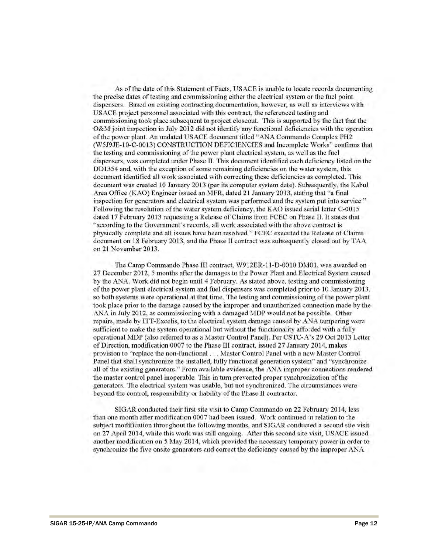As of the date of this Statement of Facts, USACE is unable to locate records documenting the precise dates of testing and commissioning either the electrical system or the fuel point dispensers. Based on existing contracting documentation, however, as well as interviews with USACE project personnel associated with this contract, the referenced testing and commissioning took place subsequent to project closeout. This is supported by the fact that the O&M joint inspection in July 2012 did not identify any functional deficiencies with the operation of the power plant. An undated USACE document titled "ANA Commando Complex PH2 (W5J9JE-10-C-0013) CONSTRUCTION DEFICIENCIES and Incomplete Works" confirms that the testing and commissioning of the power plant electrical system, as well as the fuel dispensers, was completed under Phase II. This document identified each deficiency listed on the DD1354 and, with the exception of some remaining deficiencies on the water system, this document identified all work associated with correcting these deficiencies as completed. This document was created 10 January 2013 (per its computer system date). Subsequently, the Kabul Area Office (KAO) Engineer issued an MFR, dated 21 January 2013, stating that "a final inspection for generators and electrical system was performed and the system put into service." Following the resolution of the water system deficiency, the KAO issued serial letter C-0015 dated 17 February 2013 requesting a Release of Claims from FCEC on Phase II. It states that "according to the Government's records, all work associated with the above contract is physically complete and all issues have been resolved." FCEC executed the Release of Claims document on 18 February 2013, and the Phase II contract was subsequently closed out by TAA on 21 November 2013.

The Camp Commando Phase III contract, W912ER-11-D-0010 DM01, was awarded on 27 December 2012, 5 months after the damages to the Power Plant and Electrical System caused by the ANA. Work did not begin until 4 February. As stated above, testing and commissioning of the power plant electrical system and fuel dispensers was completed prior to 10 January 2013, so both systems were operational at that time. The testing and commissioning of the power plant took place prior to the damage caused by the improper and unauthorized connection made by the ANA in July 2012, as commissioning with a damaged MDP would not be possible. Other repairs, made by ITT-Excelis, to the electrical system damage caused by ANA tampering were sufficient to make the system operational but without the functionality afforded with a fully operational MDP (also referred to as a Master Control Panel). Per CSTC-A's 29 Oct 2013 Letter of Direction, modification 0007 to the Phase III contract, issued 27 January 2014, makes provision to "replace the non-functional . . . Master Control Panel with a new Master Control Panel that shall synchronize the installed, fully functional generation system" and "synchronize all of the existing generators." From available evidence, the ANA improper connections rendered the master control panel inoperable. This in turn prevented proper synchronization of the generators. The electrical system was usable, but not synchronized. The circumstances were beyond the control, responsibility or liability of the Phase II contractor.

SIGAR conducted their first site visit to Camp Commando on 22 February 2014, less than one month after modification 0007 had been issued. Work continued in relation to the subject modification throughout the following months, and SIGAR conducted a second site visit on 27 April 2014, while this work was still ongoing. After this second site visit, USACE issued another modification on 5 May 2014, which provided the necessary temporary power in order to synchronize the five onsite generators and correct the deficiency caused by the improper ANA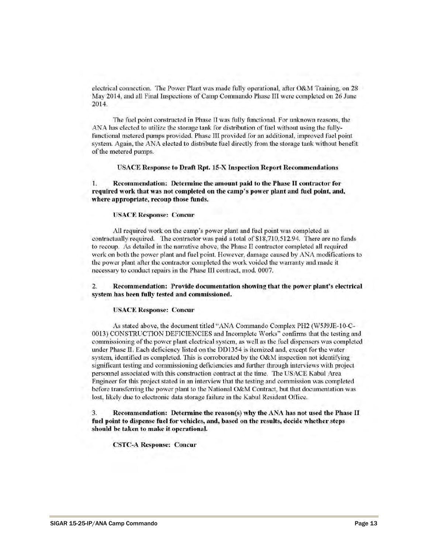electrical connection. The Power Plant was made fully operational, after O&M Training, on 28 May 2014, and all Final Inspections of Camp Commando Phase III were completed on 26 June 2014.

The fuel point constructed in Phase II was fully functional. For unknown reasons, the ANA has elected to utilize the storage tank for distribution of fuel without using the fullyfunctional metered pumps provided. Phase III provided for an additional, improved fuel point system. Again, the ANA elected to distribute fuel directly from the storage tank without benefit of the metered pumps.

**USACE Response to Draft Rpt. 15-X Inspection Report Recommendations** 

1. Recommendation: Determine the amount paid to the Phase II contractor for required work that was not completed on the camp's power plant and fuel point, and, where appropriate, recoup those funds.

### **USACE Response: Concur**

All required work on the camp's power plant and fuel point was completed as contractually required. The contractor was paid a total of \$18,710,512.94. There are no funds to recoup. As detailed in the narrative above, the Phase II contractor completed all required work on both the power plant and fuel point. However, damage caused by ANA modifications to the power plant after the contractor completed the work voided the warranty and made it necessary to conduct repairs in the Phase III contract, mod. 0007.

Recommendation: Provide documentation showing that the power plant's electrical  $\overline{2}$ . system has been fully tested and commissioned.

### **USACE Response: Concur**

As stated above, the document titled "ANA Commando Complex PH2 (W5J9JE-10-C-0013) CONSTRUCTION DEFICIENCIES and Incomplete Works" confirms that the testing and commissioning of the power plant electrical system, as well as the fuel dispensers was completed under Phase II. Each deficiency listed on the DD1354 is itemized and, except for the water system, identified as completed. This is corroborated by the O&M inspection not identifying significant testing and commissioning deficiencies and further through interviews with project personnel associated with this construction contract at the time. The USACE Kabul Area Engineer for this project stated in an interview that the testing and commission was completed before transferring the power plant to the National O&M Contract, but that documentation was lost, likely due to electronic data storage failure in the Kabul Resident Office.

3. Recommendation: Determine the reason(s) why the ANA has not used the Phase II fuel point to dispense fuel for vehicles, and, based on the results, decide whether steps should be taken to make it operational.

**CSTC-A Response: Concur**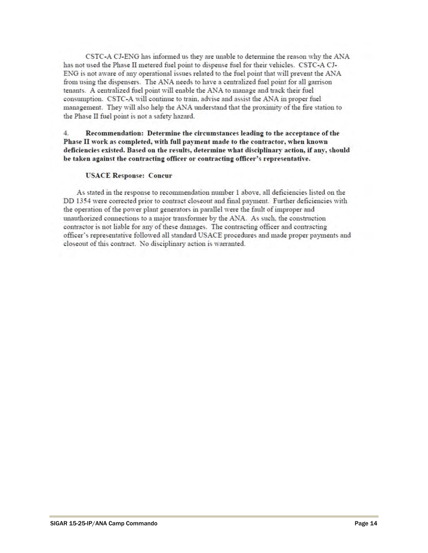CSTC-A CJ-ENG has informed us they are unable to determine the reason why the ANA has not used the Phase II metered fuel point to dispense fuel for their vehicles. CSTC-A CJ-ENG is not aware of any operational issues related to the fuel point that will prevent the ANA from using the dispensers. The ANA needs to have a centralized fuel point for all garrison tenants. A centralized fuel point will enable the ANA to manage and track their fuel consumption. CSTC-A will continue to train, advise and assist the ANA in proper fuel management. They will also help the ANA understand that the proximity of the fire station to the Phase II fuel point is not a safety hazard.

### $\mathbf{4}$ Recommendation: Determine the circumstances leading to the acceptance of the Phase II work as completed, with full payment made to the contractor, when known deficiencies existed. Based on the results, determine what disciplinary action, if any, should be taken against the contracting officer or contracting officer's representative.

### **USACE Response: Concur**

As stated in the response to recommendation number 1 above, all deficiencies listed on the DD 1354 were corrected prior to contract closeout and final payment. Further deficiencies with the operation of the power plant generators in parallel were the fault of improper and unauthorized connections to a major transformer by the ANA. As such, the construction contractor is not liable for any of these damages. The contracting officer and contracting officer's representative followed all standard USACE procedures and made proper payments and closeout of this contract. No disciplinary action is warranted.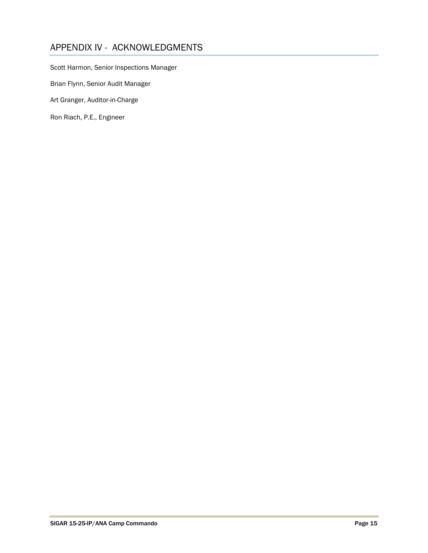# APPENDIX IV - ACKNOWLEDGMENTS

Scott Harmon, Senior Inspections Manager

Brian Flynn, Senior Audit Manager

Art Granger, Auditor-in-Charge

Ron Riach, P.E., Engineer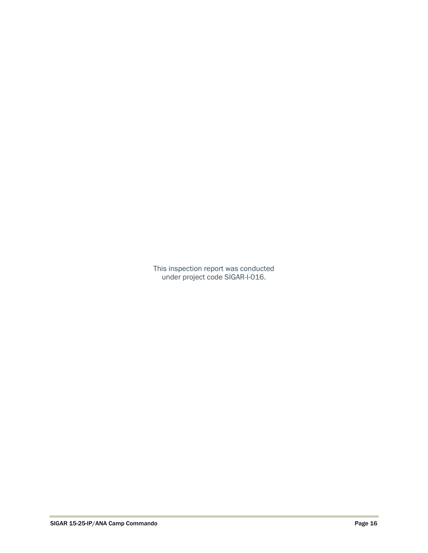This inspection report was conducted under project code SIGAR-I-016.